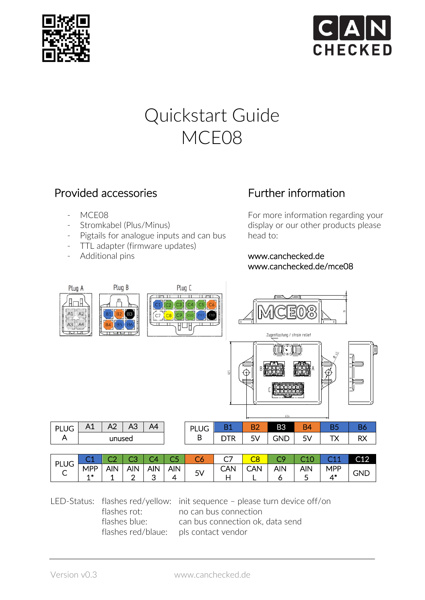



# Quickstart Guide MCE08

### Provided accessories

- MCE08
- Stromkabel (Plus/Minus)
- Pigtails for analogue inputs and can bus
- TTL adapter (firmware updates)
- Additional pins

## Further information

For more information regarding your display or our other products please head to:

#### www.canchecked.de www.canchecked.de/mce08



| DI       | ∸          |            |            |            | --         |           |     |     |     |                        | C12 |
|----------|------------|------------|------------|------------|------------|-----------|-----|-----|-----|------------------------|-----|
| レマー<br>◡ | <b>MPP</b> | <b>AIN</b> | <b>AIN</b> | <b>AIN</b> | <b>AIN</b> | СV.<br>っぃ | ิ∆N | AIN | AIN | 10 <sub>2</sub><br>MPL |     |
|          | -          | --         |            |            | ▵          | J v       | --  |     | -   |                        |     |

LED-Status: flashes red/yellow: init sequence – please turn device off/on flashes rot: no can bus connection flashes blue: can bus connection ok, data send